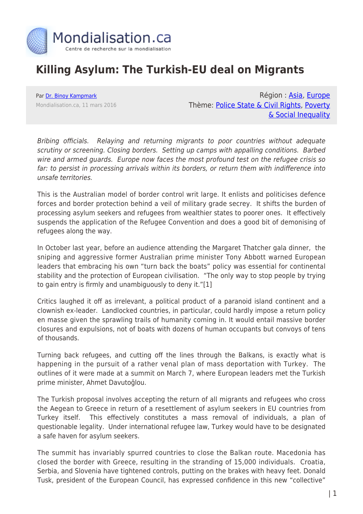

## **Killing Asylum: The Turkish-EU deal on Migrants**

Par [Dr. Binoy Kampmark](https://www.mondialisation.ca/author/binoy-kampmark) Mondialisation.ca, 11 mars 2016

Région : [Asia](https://www.mondialisation.ca/region/asia), [Europe](https://www.mondialisation.ca/region/europe) Thème: [Police State & Civil Rights](https://www.mondialisation.ca/theme/police-state-civil-rights), [Poverty](https://www.mondialisation.ca/theme/poverty-social-inequality) [& Social Inequality](https://www.mondialisation.ca/theme/poverty-social-inequality)

Bribing officials. Relaying and returning migrants to poor countries without adequate scrutiny or screening. Closing borders. Setting up camps with appalling conditions. Barbed wire and armed guards. Europe now faces the most profound test on the refugee crisis so far: to persist in processing arrivals within its borders, or return them with indifference into unsafe territories.

This is the Australian model of border control writ large. It enlists and politicises defence forces and border protection behind a veil of military grade secrey. It shifts the burden of processing asylum seekers and refugees from wealthier states to poorer ones. It effectively suspends the application of the Refugee Convention and does a good bit of demonising of refugees along the way.

In October last year, before an audience attending the Margaret Thatcher gala dinner, the sniping and aggressive former Australian prime minister Tony Abbott warned European leaders that embracing his own "turn back the boats" policy was essential for continental stability and the protection of European civilisation. "The only way to stop people by trying to gain entry is firmly and unambiguously to deny it."[1]

Critics laughed it off as irrelevant, a political product of a paranoid island continent and a clownish ex-leader. Landlocked countries, in particular, could hardly impose a return policy en masse given the sprawling trails of humanity coming in. It would entail massive border closures and expulsions, not of boats with dozens of human occupants but convoys of tens of thousands.

Turning back refugees, and cutting off the lines through the Balkans, is exactly what is happening in the pursuit of a rather venal plan of mass deportation with Turkey. The outlines of it were made at a summit on March 7, where European leaders met the Turkish prime minister, Ahmet Davutoğlou.

The Turkish proposal involves accepting the return of all migrants and refugees who cross the Aegean to Greece in return of a resettlement of asylum seekers in EU countries from Turkey itself. This effectively constitutes a mass removal of individuals, a plan of questionable legality. Under international refugee law, Turkey would have to be designated a safe haven for asylum seekers.

The summit has invariably spurred countries to close the Balkan route. Macedonia has closed the border with Greece, resulting in the stranding of 15,000 individuals. Croatia, Serbia, and Slovenia have tightened controls, putting on the brakes with heavy feet. Donald Tusk, president of the European Council, has expressed confidence in this new "collective"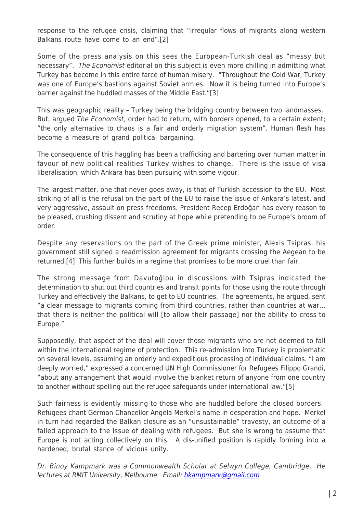response to the refugee crisis, claiming that "irregular flows of migrants along western Balkans route have come to an end".[2]

Some of the press analysis on this sees the European-Turkish deal as "messy but necessary". The Economist editorial on this subject is even more chilling in admitting what Turkey has become in this entire farce of human misery. "Throughout the Cold War, Turkey was one of Europe's bastions against Soviet armies. Now it is being turned into Europe's barrier against the huddled masses of the Middle East."[3]

This was geographic reality – Turkey being the bridging country between two landmasses. But, argued The Economist, order had to return, with borders opened, to a certain extent; "the only alternative to chaos is a fair and orderly migration system". Human flesh has become a measure of grand political bargaining.

The consequence of this haggling has been a trafficking and bartering over human matter in favour of new political realities Turkey wishes to change. There is the issue of visa liberalisation, which Ankara has been pursuing with some vigour.

The largest matter, one that never goes away, is that of Turkish accession to the EU. Most striking of all is the refusal on the part of the EU to raise the issue of Ankara's latest, and very aggressive, assault on press freedoms. President Recep Erdoğan has every reason to be pleased, crushing dissent and scrutiny at hope while pretending to be Europe's broom of order.

Despite any reservations on the part of the Greek prime minister, Alexis Tsipras, his government still signed a readmission agreement for migrants crossing the Aegean to be returned.[4] This further builds in a regime that promises to be more cruel than fair.

The strong message from Davutoğlou in discussions with Tsipras indicated the determination to shut out third countries and transit points for those using the route through Turkey and effectively the Balkans, to get to EU countries. The agreements, he argued, sent "a clear message to migrants coming from third countries, rather than countries at war… that there is neither the political will [to allow their passage] nor the ability to cross to Europe."

Supposedly, that aspect of the deal will cover those migrants who are not deemed to fall within the international regime of protection. This re-admission into Turkey is problematic on several levels, assuming an orderly and expeditious processing of individual claims. "I am deeply worried," expressed a concerned UN High Commissioner for Refugees Filippo Grandi, "about any arrangement that would involve the blanket return of anyone from one country to another without spelling out the refugee safeguards under international law."[5]

Such fairness is evidently missing to those who are huddled before the closed borders. Refugees chant German Chancellor Angela Merkel's name in desperation and hope. Merkel in turn had regarded the Balkan closure as an "unsustainable" travesty, an outcome of a failed approach to the issue of dealing with refugees. But she is wrong to assume that Europe is not acting collectively on this. A dis-unified position is rapidly forming into a hardened, brutal stance of vicious unity.

Dr. Binoy Kampmark was a Commonwealth Scholar at Selwyn College, Cambridge. He lectures at RMIT University, Melbourne. Email: **bkampmark@gmail.com**